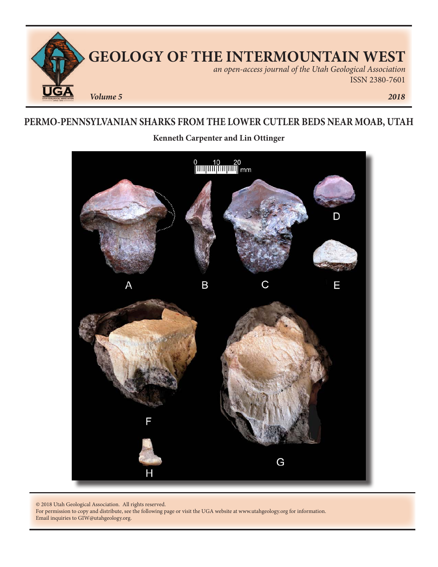

# **PERMO-PENNSYLVANIAN SHARKS FROM THE LOWER CUTLER BEDS NEAR MOAB, UTAH**

**Kenneth Carpenter and Lin Ottinger**



© 2018 Utah Geological Association. All rights reserved.

For permission to copy and distribute, see the following page or visit the UGA website at www.utahgeology.org for information. Email inquiries to GIW@utahgeology.org.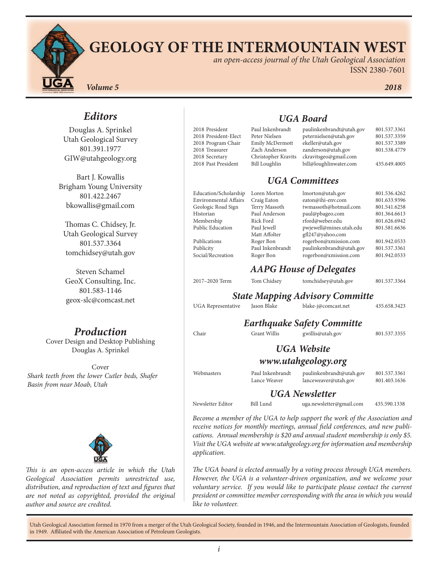

# **GEOLOGY OF THE INTERMOUNTAIN WEST**

*an open-access journal of the Utah Geological Association* ISSN 2380-7601

*Volume 5 2018*

# *Editors*

Douglas A. Sprinkel Utah Geological Survey 801.391.1977 GIW@utahgeology.org

Bart J. Kowallis Brigham Young University 801.422.2467 bkowallis@gmail.com

Thomas C. Chidsey, Jr. Utah Geological Survey 801.537.3364 tomchidsey@utah.gov

Steven Schamel GeoX Consulting, Inc. 801.583-1146 geox-slc@comcast.net

# *Production*

Cover Design and Desktop Publishing Douglas A. Sprinkel

Cover *Shark teeth from the lower Cutler beds, Shafer Basin from near Moab, Utah*



*This is an open-access article in which the Utah Geological Association permits unrestricted use, distribution, and reproduction of text and figures that are not noted as copyrighted, provided the original author and source are credited.*

| 2018 President       |
|----------------------|
| 2018 President-Elect |
| 2018 Program Chair   |
| 2018 Treasurer       |
| 2018 Secretary       |
| 2018 Past President  |

# *UGA Board*

| 2018 President<br>2018 President-Elect<br>2018 Program Chair<br>2018 Treasurer<br>2018 Secretary<br>2018 Past President | Paul Inkenbrandt<br>Peter Nielsen<br>Emily McDermott<br>Zach Anderson<br>Christopher Kravits<br><b>Bill Loughlin</b> | paulinkenbrandt@utah.gov<br>peternielsen@utah.gov<br>ekeller@utah.gov<br>zanderson@utah.gov<br>ckravitsgeo@gmail.com<br>bill@loughlinwater.com | 801.537.3361<br>801.537.3359<br>801.537.3389<br>801.538.4779<br>435.649.4005 |
|-------------------------------------------------------------------------------------------------------------------------|----------------------------------------------------------------------------------------------------------------------|------------------------------------------------------------------------------------------------------------------------------------------------|------------------------------------------------------------------------------|
|                                                                                                                         |                                                                                                                      | <b>UGA Committees</b>                                                                                                                          |                                                                              |
| Education/Scholarship                                                                                                   | Loren Morton                                                                                                         | lmorton@utah.gov                                                                                                                               | 801.536.4262                                                                 |
| <b>Environmental Affairs</b>                                                                                            | Craig Eaton                                                                                                          | eaton@ihi-env.com                                                                                                                              | 801.633.9396                                                                 |
| Geologic Road Sign                                                                                                      | Terry Massoth                                                                                                        | twmassoth@hotmail.com                                                                                                                          | 801.541.6258                                                                 |
| Historian                                                                                                               | Paul Anderson                                                                                                        | paul@pbageo.com                                                                                                                                | 801.364.6613                                                                 |
| Membership                                                                                                              | Rick Ford                                                                                                            | rford@weber.edu                                                                                                                                | 801.626.6942                                                                 |
| <b>Public Education</b>                                                                                                 | Paul Jewell                                                                                                          | pwjewell@mines.utah.edu                                                                                                                        | 801.581.6636                                                                 |
|                                                                                                                         | Matt Affolter                                                                                                        | gfl247@yahoo.com                                                                                                                               |                                                                              |
| Publications                                                                                                            | Roger Bon                                                                                                            | rogerbon@xmission.com                                                                                                                          | 801.942.0533                                                                 |
| Publicity                                                                                                               | Paul Inkenbrandt                                                                                                     | paulinkenbrandt@utah.gov                                                                                                                       | 801.537.3361                                                                 |
| Social/Recreation                                                                                                       | Roger Bon                                                                                                            | rogerbon@xmission.com                                                                                                                          | 801.942.0533                                                                 |

# *AAPG House of Delegates*

2017–2020 Term Tom Chidsey tomchidsey@utah.gov 801.537.3364 *State Mapping Advisory Committe*

UGA Representative Jason Blake blake-j@comcast.net 435.658.3423

| Jason Blake<br>ıve |  |
|--------------------|--|
|--------------------|--|

| -j@comcast.net |  |
|----------------|--|
|                |  |

| <b>Earthquake Safety Committe</b> |                                  |                                                  |                              |  |  |  |
|-----------------------------------|----------------------------------|--------------------------------------------------|------------------------------|--|--|--|
| Chair                             | <b>Grant Willis</b>              | gwillis@utah.gov                                 | 801.537.3355                 |  |  |  |
|                                   |                                  | <b>UGA</b> Website                               |                              |  |  |  |
|                                   |                                  | www.utahgeology.org                              |                              |  |  |  |
| Webmasters                        | Paul Inkenbrandt<br>Lance Weaver | paulinkenbrandt@utah.gov<br>lanceweaver@utah.gov | 801.537.3361<br>801.403.1636 |  |  |  |

# *UGA Newsletter*

Newsletter Editor Bill Lund uga.newsletter@gmail.com 435.590.1338

*Become a member of the UGA to help support the work of the Association and receive notices for monthly meetings, annual field conferences, and new publications. Annual membership is \$20 and annual student membership is only \$5. Visit the UGA website at www.utahgeology.org for information and membership application.*

*The UGA board is elected annually by a voting process through UGA members. However, the UGA is a volunteer-driven organization, and we welcome your voluntary service. If you would like to participate please contact the current president or committee member corresponding with the area in which you would like to volunteer.*

Utah Geological Association formed in 1970 from a merger of the Utah Geological Society, founded in 1946, and the Intermountain Association of Geologists, founded in 1949. Affiliated with the American Association of Petroleum Geologists.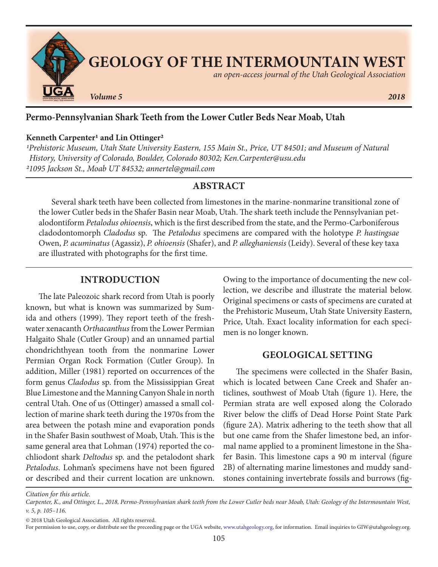

# **Permo-Pennsylvanian Shark Teeth from the Lower Cutler Beds Near Moab, Utah**

#### **Kenneth Carpenter1 and Lin Ottinger2**

*1Prehistoric Museum, Utah State University Eastern, 155 Main St., Price, UT 84501; and Museum of Natural History, University of Colorado, Boulder, Colorado 80302; Ken.Carpenter@usu.edu 21095 Jackson St., Moab UT 84532; annertel@gmail.com*

#### **ABSTRACT**

Several shark teeth have been collected from limestones in the marine-nonmarine transitional zone of the lower Cutler beds in the Shafer Basin near Moab, Utah. The shark teeth include the Pennsylvanian petalodontiform *Petalodus ohioensis*, which is the first described from the state, and the Permo-Carboniferous cladodontomorph *Cladodus* sp. The *Petalodus* specimens are compared with the holotype *P. hastingsae* Owen, *P. acuminatus* (Agassiz), *P. ohioensis* (Shafer), and *P. alleghaniensis* (Leidy). Several of these key taxa are illustrated with photographs for the first time.

#### **INTRODUCTION**

The late Paleozoic shark record from Utah is poorly known, but what is known was summarized by Sumida and others (1999). They report teeth of the freshwater xenacanth *Orthacanthus* from the Lower Permian Halgaito Shale (Cutler Group) and an unnamed partial chondrichthyean tooth from the nonmarine Lower Permian Organ Rock Formation (Cutler Group). In addition, Miller (1981) reported on occurrences of the form genus *Cladodus* sp. from the Mississippian Great Blue Limestone and the Manning Canyon Shale in north central Utah. One of us (Ottinger) amassed a small collection of marine shark teeth during the 1970s from the area between the potash mine and evaporation ponds in the Shafer Basin southwest of Moab, Utah. This is the same general area that Lohman (1974) reported the cochliodont shark *Deltodus* sp. and the petalodont shark *Petalodus*. Lohman's specimens have not been figured or described and their current location are unknown.

Owing to the importance of documenting the new collection, we describe and illustrate the material below. Original specimens or casts of specimens are curated at the Prehistoric Museum, Utah State University Eastern, Price, Utah. Exact locality information for each specimen is no longer known.

#### **GEOLOGICAL SETTING**

The specimens were collected in the Shafer Basin, which is located between Cane Creek and Shafer anticlines, southwest of Moab Utah (figure 1). Here, the Permian strata are well exposed along the Colorado River below the cliffs of Dead Horse Point State Park (figure 2A). Matrix adhering to the teeth show that all but one came from the Shafer limestone bed, an informal name applied to a prominent limestone in the Shafer Basin. This limestone caps a 90 m interval (figure 2B) of alternating marine limestones and muddy sandstones containing invertebrate fossils and burrows (fig-

*Citation for this article.*

*Carpenter, K., and Ottinger, L., 2018, Permo-Pennsylvanian shark teeth from the Lower Cutler beds near Moab, Utah: Geology of the Intermountain West, v. 5, p. 105–116.*

<sup>© 2018</sup> Utah Geological Association. All rights reserved.

For permission to use, copy, or distribute see the preceeding page or the UGA website, www.utahgeology.org, for information. Email inquiries to GIW@utahgeology.org.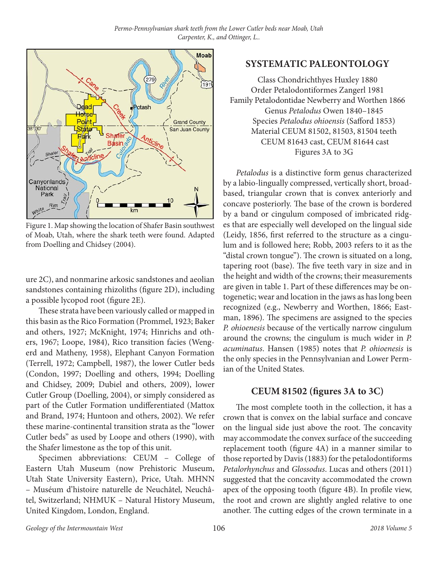

Figure 1. Map showing the location of Shafer Basin southwest of Moab, Utah, where the shark teeth were found. Adapted from Doelling and Chidsey (2004).

ure 2C), and nonmarine arkosic sandstones and aeolian sandstones containing rhizoliths (figure 2D), including a possible lycopod root (figure 2E).

These strata have been variously called or mapped in this basin as the Rico Formation (Prommel, 1923; Baker and others, 1927; McKnight, 1974; Hinrichs and others, 1967; Loope, 1984), Rico transition facies (Wengerd and Matheny, 1958), Elephant Canyon Formation (Terrell, 1972; Campbell, 1987), the lower Cutler beds (Condon, 1997; Doelling and others, 1994; Doelling and Chidsey, 2009; Dubiel and others, 2009), lower Cutler Group (Doelling, 2004), or simply considered as part of the Cutler Formation undifferentiated (Mattox and Brand, 1974; Huntoon and others, 2002). We refer these marine-continental transition strata as the "lower Cutler beds" as used by Loope and others (1990), with the Shafer limestone as the top of this unit.

Specimen abbreviations: CEUM – College of Eastern Utah Museum (now Prehistoric Museum, Utah State University Eastern), Price, Utah. MHNN – Muséum d'histoire naturelle de Neuchâtel, Neuchâtel, Switzerland; NHMUK – Natural History Museum, United Kingdom, London, England.

## **SYSTEMATIC PALEONTOLOGY**

Class Chondrichthyes Huxley 1880 Order Petalodontiformes Zangerl 1981 Family Petalodontidae Newberry and Worthen 1866 Genus *Petalodus* Owen 1840–1845 Species *Petalodus ohioensis* (Safford 1853) Material CEUM 81502, 81503, 81504 teeth CEUM 81643 cast, CEUM 81644 cast Figures 3A to 3G

*Petalodus* is a distinctive form genus characterized by a labio-lingually compressed, vertically short, broadbased, triangular crown that is convex anteriorly and concave posteriorly. The base of the crown is bordered by a band or cingulum composed of imbricated ridges that are especially well developed on the lingual side (Leidy, 1856, first referred to the structure as a cingulum and is followed here; Robb, 2003 refers to it as the "distal crown tongue"). The crown is situated on a long, tapering root (base). The five teeth vary in size and in the height and width of the crowns; their measurements are given in table 1. Part of these differences may be ontogenetic; wear and location in the jaws as has long been recognized (e.g., Newberry and Worthen, 1866; Eastman, 1896). The specimens are assigned to the species *P. ohioenesis* because of the vertically narrow cingulum around the crowns; the cingulum is much wider in *P. acuminatus*. Hansen (1985) notes that *P. ohioenesis* is the only species in the Pennsylvanian and Lower Permian of the United States.

### **CEUM 81502 (figures 3A to 3C)**

The most complete tooth in the collection, it has a crown that is convex on the labial surface and concave on the lingual side just above the root. The concavity may accommodate the convex surface of the succeeding replacement tooth (figure 4A) in a manner similar to those reported by Davis (1883) for the petalodontiforms *Petalorhynchus* and *Glossodus*. Lucas and others (2011) suggested that the concavity accommodated the crown apex of the opposing tooth (figure 4B). In profile view, the root and crown are slightly angled relative to one another. The cutting edges of the crown terminate in a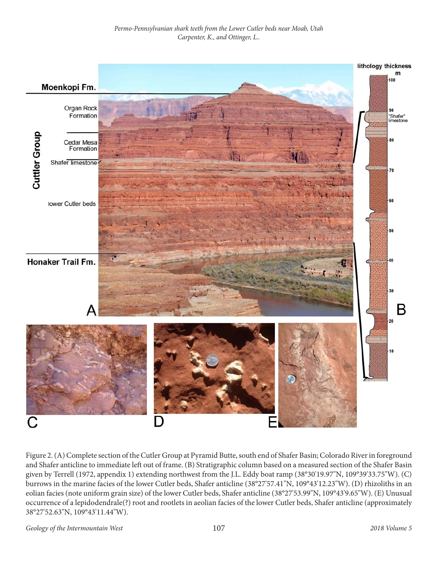

Figure 2. (A) Complete section of the Cutler Group at Pyramid Butte, south end of Shafer Basin; Colorado River in foreground and Shafer anticline to immediate left out of frame. (B) Stratigraphic column based on a measured section of the Shafer Basin given by Terrell (1972, appendix 1) extending northwest from the J.L. Eddy boat ramp (38°30'19.97"N, 109°39'33.75"W). (C) burrows in the marine facies of the lower Cutler beds, Shafer anticline (38°27'57.41"N, 109°43'12.23"W). (D) rhizoliths in an eolian facies (note uniform grain size) of the lower Cutler beds, Shafer anticline (38°27'53.99"N, 109°43'9.65"W). (E) Unusual occurrence of a lepidodendrale(?) root and rootlets in aeolian facies of the lower Cutler beds, Shafer anticline (approximately 38°27'52.63"N, 109°43'11.44"W).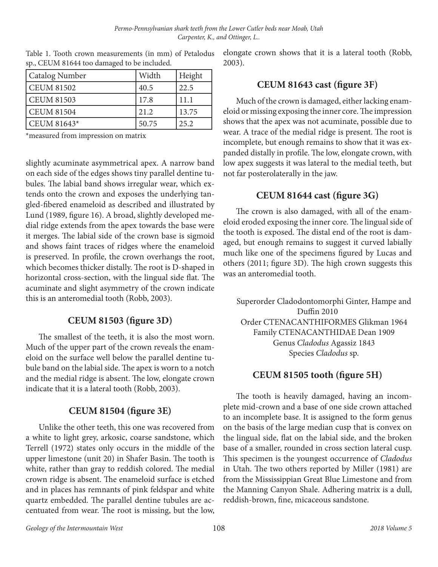| <b>Catalog Number</b> | Width | Height |
|-----------------------|-------|--------|
| CEUM 81502            | 40.5  | 22.5   |
| <b>CEUM 81503</b>     | 17.8  | 11.1   |
| CEUM 81504            | 21.2  | 13.75  |
| CEUM 81643*           | 50.75 | 25.2   |

Table 1. Tooth crown measurements (in mm) of Petalodus sp., CEUM 81644 too damaged to be included.

\*measured from impression on matrix

slightly acuminate asymmetrical apex. A narrow band on each side of the edges shows tiny parallel dentine tubules. The labial band shows irregular wear, which extends onto the crown and exposes the underlying tangled-fibered enameloid as described and illustrated by Lund (1989, figure 16). A broad, slightly developed medial ridge extends from the apex towards the base were it merges. The labial side of the crown base is sigmoid and shows faint traces of ridges where the enameloid is preserved. In profile, the crown overhangs the root, which becomes thicker distally. The root is D-shaped in horizontal cross-section, with the lingual side flat. The acuminate and slight asymmetry of the crown indicate this is an anteromedial tooth (Robb, 2003).

### **CEUM 81503 (figure 3D)**

The smallest of the teeth, it is also the most worn. Much of the upper part of the crown reveals the enameloid on the surface well below the parallel dentine tubule band on the labial side. The apex is worn to a notch and the medial ridge is absent. The low, elongate crown indicate that it is a lateral tooth (Robb, 2003).

#### **CEUM 81504 (figure 3E)**

Unlike the other teeth, this one was recovered from a white to light grey, arkosic, coarse sandstone, which Terrell (1972) states only occurs in the middle of the upper limestone (unit 20) in Shafer Basin. The tooth is white, rather than gray to reddish colored. The medial crown ridge is absent. The enameloid surface is etched and in places has remnants of pink feldspar and white quartz embedded. The parallel dentine tubules are accentuated from wear. The root is missing, but the low, elongate crown shows that it is a lateral tooth (Robb, 2003).

#### **CEUM 81643 cast (figure 3F)**

Much of the crown is damaged, either lacking enameloid or missing exposing the inner core. The impression shows that the apex was not acuminate, possible due to wear. A trace of the medial ridge is present. The root is incomplete, but enough remains to show that it was expanded distally in profile. The low, elongate crown, with low apex suggests it was lateral to the medial teeth, but not far posterolaterally in the jaw.

#### **CEUM 81644 cast (figure 3G)**

The crown is also damaged, with all of the enameloid eroded exposing the inner core. The lingual side of the tooth is exposed. The distal end of the root is damaged, but enough remains to suggest it curved labially much like one of the specimens figured by Lucas and others (2011; figure 3D). The high crown suggests this was an anteromedial tooth.

Superorder Cladodontomorphi Ginter, Hampe and Duffin 2010 Order CTENACANTHIFORMES Glikman 1964 Family CTENACANTHIDAE Dean 1909 Genus *Cladodus* Agassiz 1843 Species *Cladodus* sp.

#### **CEUM 81505 tooth (figure 5H)**

The tooth is heavily damaged, having an incomplete mid-crown and a base of one side crown attached to an incomplete base. It is assigned to the form genus on the basis of the large median cusp that is convex on the lingual side, flat on the labial side, and the broken base of a smaller, rounded in cross section lateral cusp. This specimen is the youngest occurrence of *Cladodus* in Utah. The two others reported by Miller (1981) are from the Mississippian Great Blue Limestone and from the Manning Canyon Shale. Adhering matrix is a dull, reddish-brown, fine, micaceous sandstone.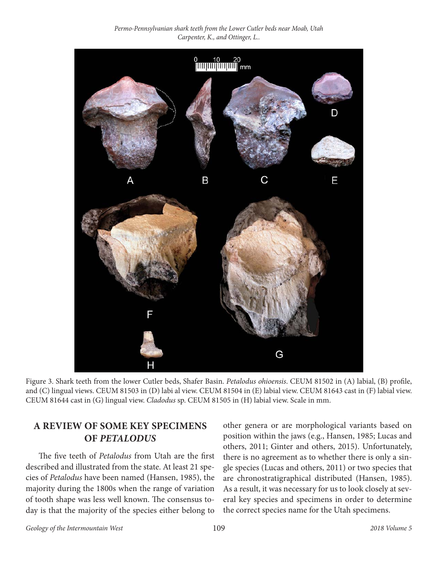*Permo-Pennsylvanian shark teeth from the Lower Cutler beds near Moab, Utah Carpenter, K., and Ottinger, L..*



Figure 3. Shark teeth from the lower Cutler beds, Shafer Basin. *Petalodus ohioensis*. CEUM 81502 in (A) labial, (B) profile, and (C) lingual views. CEUM 81503 in (D) labi al view. CEUM 81504 in (E) labial view. CEUM 81643 cast in (F) labial view. CEUM 81644 cast in (G) lingual view. *Cladodus* sp. CEUM 81505 in (H) labial view. Scale in mm.

# **A REVIEW OF SOME KEY SPECIMENS OF** *PETALODUS*

The five teeth of *Petalodus* from Utah are the first described and illustrated from the state. At least 21 species of *Petalodus* have been named (Hansen, 1985), the majority during the 1800s when the range of variation of tooth shape was less well known. The consensus today is that the majority of the species either belong to

other genera or are morphological variants based on position within the jaws (e.g., Hansen, 1985; Lucas and others, 2011; Ginter and others, 2015). Unfortunately, there is no agreement as to whether there is only a single species (Lucas and others, 2011) or two species that are chronostratigraphical distributed (Hansen, 1985). As a result, it was necessary for us to look closely at several key species and specimens in order to determine the correct species name for the Utah specimens.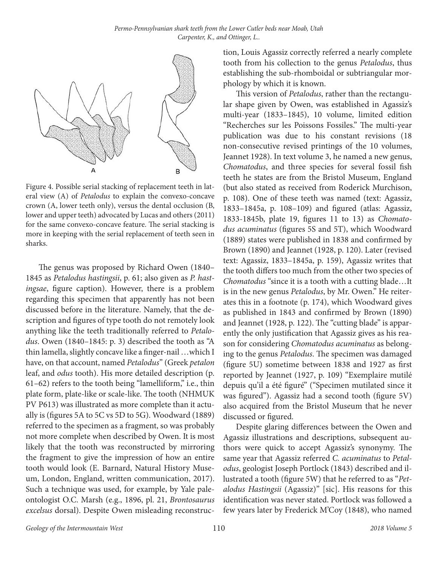

Figure 4. Possible serial stacking of replacement teeth in lateral view (A) of *Petalodus* to explain the convexo-concave crown (A, lower teeth only), versus the dental occlusion (B, lower and upper teeth) advocated by Lucas and others (2011) for the same convexo-concave feature. The serial stacking is more in keeping with the serial replacement of teeth seen in sharks.

The genus was proposed by Richard Owen (1840– 1845 as *Petalodus hastingsii*, p. 61; also given as *P. hastingsae*, figure caption). However, there is a problem regarding this specimen that apparently has not been discussed before in the literature. Namely, that the description and figures of type tooth do not remotely look anything like the teeth traditionally referred to *Petalodus*. Owen (1840–1845: p. 3) described the tooth as "A thin lamella, slightly concave like a finger-nail …which I have, on that account, named *Petalodus*" (Greek *petalon* leaf, and *odus* tooth). His more detailed description (p. 61–62) refers to the tooth being "lamelliform," i.e., thin plate form, plate-like or scale-like. The tooth (NHMUK PV P613) was illustrated as more complete than it actually is (figures 5A to 5C vs 5D to 5G). Woodward (1889) referred to the specimen as a fragment, so was probably not more complete when described by Owen. It is most likely that the tooth was reconstructed by mirroring the fragment to give the impression of how an entire tooth would look (E. Barnard, Natural History Museum, London, England, written communication, 2017). Such a technique was used, for example, by Yale paleontologist O.C. Marsh (e.g., 1896, pl. 21, *Brontosaurus excelsus* dorsal). Despite Owen misleading reconstruction, Louis Agassiz correctly referred a nearly complete tooth from his collection to the genus *Petalodus*, thus establishing the sub-rhomboidal or subtriangular morphology by which it is known.

This version of *Petalodus*, rather than the rectangular shape given by Owen, was established in Agassiz's multi-year (1833–1845), 10 volume, limited edition "Recherches sur les Poissons Fossiles." The multi-year publication was due to his constant revisions (18 non-consecutive revised printings of the 10 volumes, Jeannet 1928). In text volume 3, he named a new genus, *Chomatodus*, and three species for several fossil fish teeth he states are from the Bristol Museum, England (but also stated as received from Roderick Murchison, p. 108). One of these teeth was named (text: Agassiz, 1833–1845a, p. 108–109) and figured (atlas: Agassiz, 1833-1845b, plate 19, figures 11 to 13) as *Chomatodus acuminatus* (figures 5S and 5T), which Woodward (1889) states were published in 1838 and confirmed by Brown (1890) and Jeannet (1928, p. 120). Later (revised text: Agassiz, 1833–1845a, p. 159), Agassiz writes that the tooth differs too much from the other two species of *Chomatodus* "since it is a tooth with a cutting blade…It is in the new genus *Petalodus*, by Mr. Owen." He reiterates this in a footnote (p. 174), which Woodward gives as published in 1843 and confirmed by Brown (1890) and Jeannet (1928, p. 122). The "cutting blade" is apparently the only justification that Agassiz gives as his reason for considering *Chomatodus acuminatus* as belonging to the genus *Petalodus*. The specimen was damaged (figure 5U) sometime between 1838 and 1927 as first reported by Jeannet (1927, p. 109) "Exemplaire mutilé depuis qu'il a été figuré" ("Specimen mutilated since it was figured"). Agassiz had a second tooth (figure 5V) also acquired from the Bristol Museum that he never discussed or figured.

Despite glaring differences between the Owen and Agassiz illustrations and descriptions, subsequent authors were quick to accept Agassiz's synonymy. The same year that Agassiz referred *C. acuminatus* to *Petalodus*, geologist Joseph Portlock (1843) described and illustrated a tooth (figure 5W) that he referred to as "*Petalodus Hastingsii* (Agassiz)" [sic]. His reasons for this identification was never stated. Portlock was followed a few years later by Frederick M'Coy (1848), who named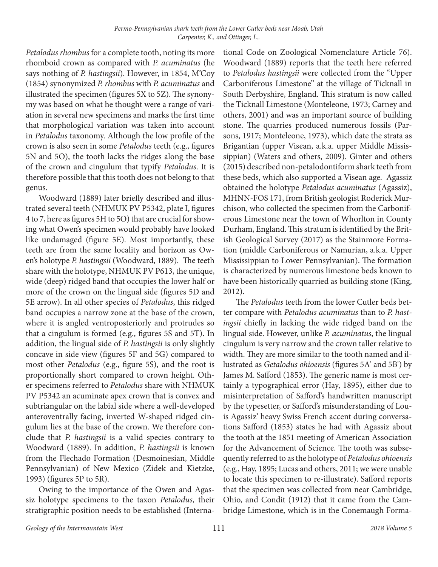*Petalodus rhombus* for a complete tooth, noting its more rhomboid crown as compared with *P. acuminatus* (he says nothing of *P. hastingsii*). However, in 1854, M'Coy (1854) synonymized *P. rhombus* with *P. acuminatus* and illustrated the specimen (figures 5X to 5Z). The synonymy was based on what he thought were a range of variation in several new specimens and marks the first time that morphological variation was taken into account in *Petalodus* taxonomy. Although the low profile of the crown is also seen in some *Petalodus* teeth (e.g., figures 5N and 5O), the tooth lacks the ridges along the base of the crown and cingulum that typify *Petalodus*. It is therefore possible that this tooth does not belong to that genus.

Woodward (1889) later briefly described and illustrated several teeth (NHMUK PV P5342, plate I, figures 4 to 7, here as figures 5H to 5O) that are crucial for showing what Owen's specimen would probably have looked like undamaged (figure 5E). Most importantly, these teeth are from the same locality and horizon as Owen's holotype *P. hastingsii* (Woodward, 1889). The teeth share with the holotype, NHMUK PV P613, the unique, wide (deep) ridged band that occupies the lower half or more of the crown on the lingual side (figures 5D and 5E arrow). In all other species of *Petalodus*, this ridged band occupies a narrow zone at the base of the crown, where it is angled ventroposteriorly and protrudes so that a cingulum is formed (e.g., figures 5S and 5T). In addition, the lingual side of *P. hastingsii* is only slightly concave in side view (figures 5F and 5G) compared to most other *Petalodus* (e.g., figure 5S), and the root is proportionally short compared to crown height. Other specimens referred to *Petalodus* share with NHMUK PV P5342 an acuminate apex crown that is convex and subtriangular on the labial side where a well-developed anteroventrally facing, inverted W-shaped ridged cingulum lies at the base of the crown. We therefore conclude that *P. hastingsii* is a valid species contrary to Woodward (1889). In addition, *P. hastingsii* is known from the Flechado Formation (Desmoinesian, Middle Pennsylvanian) of New Mexico (Zidek and Kietzke, 1993) (figures 5P to 5R).

Owing to the importance of the Owen and Agassiz holotype specimens to the taxon *Petalodus*, their stratigraphic position needs to be established (Interna-

tional Code on Zoological Nomenclature Article 76). Woodward (1889) reports that the teeth here referred to *Petalodus hastingsii* were collected from the "Upper Carboniferous Limestone" at the village of Ticknall in South Derbyshire, England. This stratum is now called the Ticknall Limestone (Monteleone, 1973; Carney and others, 2001) and was an important source of building stone. The quarries produced numerous fossils (Parsons, 1917; Monteleone, 1973), which date the strata as Brigantian (upper Visean, a.k.a. upper Middle Mississippian) (Waters and others, 2009). Ginter and others (2015) described non-petalodontiform shark teeth from these beds, which also supported a Visean age. Agassiz obtained the holotype *Petalodus acuminatus* (Agassiz), MHNN-FOS 171, from British geologist Roderick Murchison, who collected the specimen from the Carboniferous Limestone near the town of Whorlton in County Durham, England. This stratum is identified by the British Geological Survey (2017) as the Stainmore Formation (middle Carboniferous or Namurian, a.k.a. Upper Mississippian to Lower Pennsylvanian). The formation is characterized by numerous limestone beds known to have been historically quarried as building stone (King, 2012).

The *Petalodus* teeth from the lower Cutler beds better compare with *Petalodus acuminatus* than to *P. hastingsii* chiefly in lacking the wide ridged band on the lingual side. However, unlike *P. acuminatus*, the lingual cingulum is very narrow and the crown taller relative to width. They are more similar to the tooth named and illustrated as *Getalodus ohioensis* (figures 5A' and 5B') by James M. Safford (1853). The generic name is most certainly a typographical error (Hay, 1895), either due to misinterpretation of Safford's handwritten manuscript by the typesetter, or Safford's misunderstanding of Louis Agassiz' heavy Swiss French accent during conversations Safford (1853) states he had with Agassiz about the tooth at the 1851 meeting of American Association for the Advancement of Science. The tooth was subsequently referred to as the holotype of *Petalodus ohioensis* (e.g., Hay, 1895; Lucas and others, 2011; we were unable to locate this specimen to re-illustrate). Safford reports that the specimen was collected from near Cambridge, Ohio, and Condit (1912) that it came from the Cambridge Limestone, which is in the Conemaugh Forma-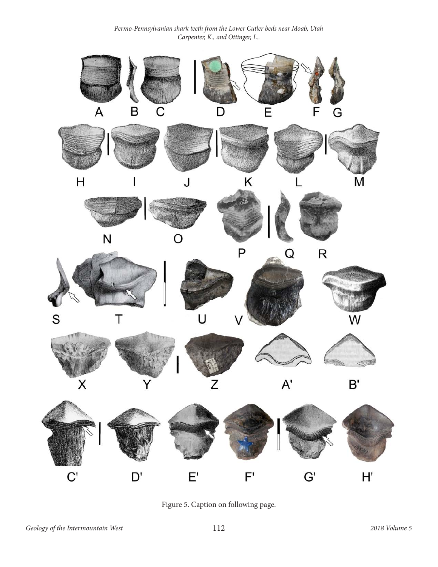

Figure 5. Caption on following page.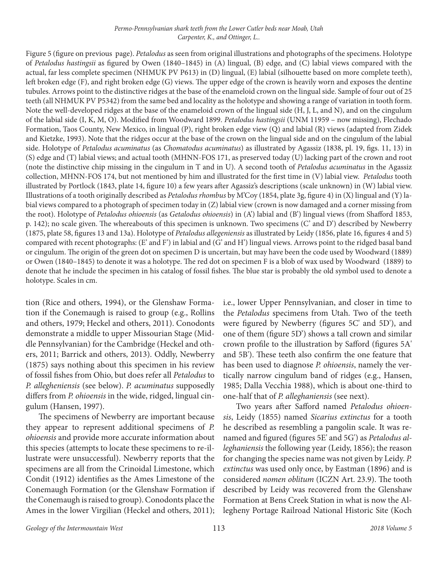Figure 5 (figure on previous page). *Petalodus* as seen from original illustrations and photographs of the specimens. Holotype of *Petalodus hastingsii* as figured by Owen (1840–1845) in (A) lingual, (B) edge, and (C) labial views compared with the actual, far less complete specimen (NHMUK PV P613) in (D) lingual, (E) labial (silhouette based on more complete teeth), left broken edge (F), and right broken edge (G) views. The upper edge of the crown is heavily worn and exposes the dentine tubules. Arrows point to the distinctive ridges at the base of the enameloid crown on the lingual side. Sample of four out of 25 teeth (all NHMUK PV P5342) from the same bed and locality as the holotype and showing a range of variation in tooth form. Note the well-developed ridges at the base of the enameloid crown of the lingual side (H, J, L, and N), and on the cingulum of the labial side (I, K, M, O). Modified from Woodward 1899. *Petalodus hastingsii* (UNM 11959 – now missing), Flechado Formation, Taos County, New Mexico, in lingual (P), right broken edge view (Q) and labial (R) views (adapted from Zidek and Kietzke, 1993). Note that the ridges occur at the base of the crown on the lingual side and on the cingulum of the labial side. Holotype of *Petalodus acuminatus* (as *Chomatodus acuminatus*) as illustrated by Agassiz (1838, pl. 19, figs. 11, 13) in (S) edge and (T) labial views; and actual tooth (MHNN-FOS 171, as preserved today (U) lacking part of the crown and root (note the distinctive chip missing in the cingulum in T and in U). A second tooth of *Petalodus acuminatus* in the Agassiz collection, MHNN-FOS 174, but not mentioned by him and illustrated for the first time in (V) labial view. *Petalodus* tooth illustrated by Portlock (1843, plate 14, figure 10) a few years after Agassiz's descriptions (scale unknown) in (W) labial view. Illustrations of a tooth originally described as *Petalodus rhombus* by M'Coy (1854, plate 3g, figure 4) in (X) lingual and (Y) labial views compared to a photograph of specimen today in (Z) labial view (crown is now damaged and a corner missing from the root). Holotype of *Petalodus ohioensis* (as *Getalodus ohioensis*) in (A') labial and (B') lingual views (from Shafford 1853, p. 142); no scale given. The whereabouts of this specimen is unknown. Two specimens (C' and D') described by Newberry (1875, plate 58, figures 13 and 13a). Holotype of *Petalodus allegeniensis* as illustrated by Leidy (1856, plate 16, figures 4 and 5) compared with recent photographs: (E' and F') in labial and (G' and H') lingual views. Arrows point to the ridged basal band or cingulum. The origin of the green dot on specimen D is uncertain, but may have been the code used by Woodward (1889) or Owen (1840–1845) to denote it was a holotype. The red dot on specimen F is a blob of wax used by Woodward (1889) to denote that he include the specimen in his catalog of fossil fishes. The blue star is probably the old symbol used to denote a holotype. Scales in cm.

tion (Rice and others, 1994), or the Glenshaw Formation if the Conemaugh is raised to group (e.g., Rollins and others, 1979; Heckel and others, 2011). Conodonts demonstrate a middle to upper Missourian Stage (Middle Pennsylvanian) for the Cambridge (Heckel and others, 2011; Barrick and others, 2013). Oddly, Newberry (1875) says nothing about this specimen in his review of fossil fishes from Ohio, but does refer all *Petalodus* to *P. allegheniensis* (see below). *P. acuminatus* supposedly differs from *P. ohioensis* in the wide, ridged, lingual cingulum (Hansen, 1997).

The specimens of Newberry are important because they appear to represent additional specimens of *P. ohioensis* and provide more accurate information about this species (attempts to locate these specimens to re-illustrate were unsuccessful). Newberry reports that the specimens are all from the Crinoidal Limestone, which Condit (1912) identifies as the Ames Limestone of the Conemaugh Formation (or the Glenshaw Formation if the Conemaugh is raised to group). Conodonts place the Ames in the lower Virgilian (Heckel and others, 2011);

i.e., lower Upper Pennsylvanian, and closer in time to the *Petalodus* specimens from Utah. Two of the teeth were figured by Newberry (figures 5C' and 5D'), and one of them (figure 5D') shows a tall crown and similar crown profile to the illustration by Safford (figures 5A' and 5B'). These teeth also confirm the one feature that has been used to diagnose *P. ohioensis*, namely the vertically narrow cingulum band of ridges (e.g., Hansen, 1985; Dalla Vecchia 1988), which is about one-third to one-half that of *P. alleghaniensis* (see next).

Two years after Safford named *Petalodus ohioensis*, Leidy (1855) named *Sicarius extinctus* for a tooth he described as resembling a pangolin scale. It was renamed and figured (figures 5E' and 5G') as *Petalodus alleghaniensis* the following year (Leidy, 1856); the reason for changing the species name was not given by Leidy. *P. extinctus* was used only once, by Eastman (1896) and is considered *nomen oblitum* (ICZN Art. 23.9). The tooth described by Leidy was recovered from the Glenshaw Formation at Bens Creek Station in what is now the Allegheny Portage Railroad National Historic Site (Koch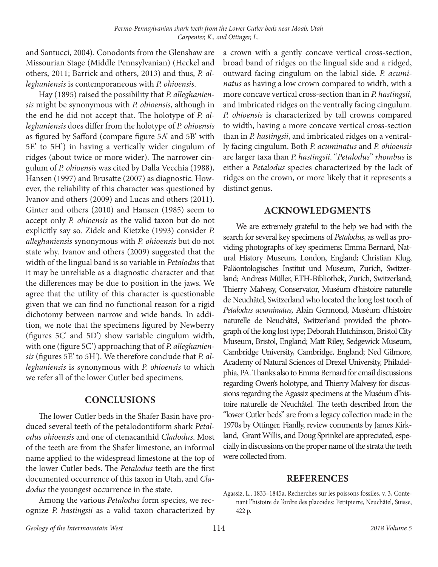and Santucci, 2004). Conodonts from the Glenshaw are Missourian Stage (Middle Pennsylvanian) (Heckel and others, 2011; Barrick and others, 2013) and thus, *P. alleghaniensis* is contemporaneous with *P. ohioensis*.

Hay (1895) raised the possibility that *P. alleghaniensis* might be synonymous with *P. ohioensis*, although in the end he did not accept that. The holotype of *P. alleghaniensis* does differ from the holotype of *P. ohioensis* as figured by Safford (compare figure 5A' and 5B' with 5E' to 5H') in having a vertically wider cingulum of ridges (about twice or more wider). The narrower cingulum of *P. ohioensis* was cited by Dalla Vecchia (1988), Hansen (1997) and Brusatte (2007) as diagnostic*.* However, the reliability of this character was questioned by Ivanov and others (2009) and Lucas and others (2011). Ginter and others (2010) and Hansen (1985) seem to accept only *P. ohioensis* as the valid taxon but do not explicitly say so. Zidek and Kietzke (1993) consider *P. alleghaniensis* synonymous with *P. ohioensis* but do not state why. Ivanov and others (2009) suggested that the width of the lingual band is so variable in *Petalodus* that it may be unreliable as a diagnostic character and that the differences may be due to position in the jaws. We agree that the utility of this character is questionable given that we can find no functional reason for a rigid dichotomy between narrow and wide bands. In addition, we note that the specimens figured by Newberry (figures 5C' and 5D') show variable cingulum width, with one (figure 5C') approaching that of *P. alleghaniensis* (figures 5E' to 5H'). We therefore conclude that *P. alleghaniensis* is synonymous with *P. ohioensis* to which we refer all of the lower Cutler bed specimens.

# **CONCLUSIONS**

The lower Cutler beds in the Shafer Basin have produced several teeth of the petalodontiform shark *Petalodus ohioensis* and one of ctenacanthid *Cladodus*. Most of the teeth are from the Shafer limestone, an informal name applied to the widespread limestone at the top of the lower Cutler beds. The *Petalodus* teeth are the first documented occurrence of this taxon in Utah, and *Cladodus* the youngest occurrence in the state.

Among the various *Petalodus* form species, we recognize *P. hastingsii* as a valid taxon characterized by a crown with a gently concave vertical cross-section, broad band of ridges on the lingual side and a ridged, outward facing cingulum on the labial side. *P. acuminatus* as having a low crown compared to width, with a more concave vertical cross-section than in *P. hastingsii,*  and imbricated ridges on the ventrally facing cingulum. *P. ohioensis* is characterized by tall crowns compared to width, having a more concave vertical cross-section than in *P. hastingsii*, and imbricated ridges on a ventrally facing cingulum. Both *P. acuminatus* and *P. ohioensis* are larger taxa than *P. hastingsii*. "*Petalodus*" *rhombus* is either a *Petalodus* species characterized by the lack of ridges on the crown, or more likely that it represents a distinct genus.

## **ACKNOWLEDGMENTS**

We are extremely grateful to the help we had with the search for several key specimens of *Petalodus*, as well as providing photographs of key specimens: Emma Bernard, Natural History Museum, London, England; Christian Klug, Paläontologisches Institut und Museum, Zurich, Switzerland; Andreas Müller, ETH-Bibliothek, Zurich, Switzerland; Thierry Malvesy, Conservator, Muséum d'histoire naturelle de Neuchâtel, Switzerland who located the long lost tooth of *Petalodus acuminatus*, Alain Germond, Muséum d'histoire naturelle de Neuchâtel, Switzerland provided the photograph of the long lost type; Deborah Hutchinson, Bristol City Museum, Bristol, England; Matt Riley, Sedgewick Museum, Cambridge University, Cambridge, England; Ned Gilmore, Academy of Natural Sciences of Drexel University, Philadelphia, PA. Thanks also to Emma Bernard for email discussions regarding Owen's holotype, and Thierry Malvesy for discussions regarding the Agassiz specimens at the Muséum d'histoire naturelle de Neuchâtel. The teeth described from the "lower Cutler beds" are from a legacy collection made in the 1970s by Ottinger. Fianlly, review comments by James Kirkland, Grant Willis, and Doug Sprinkel are appreciated, especially in discussions on the proper name of the strata the teeth were collected from.

#### **REFERENCES**

Agassiz, L., 1833–1845a, Recherches sur les poissons fossiles, v. 3, Contenant l'histoire de l'ordre des placoïdes: Petitpierre, Neuchâtel, Suisse, 422 p.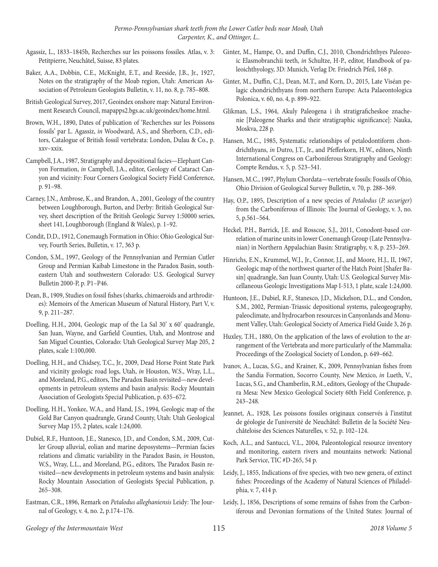- Agassiz, L., 1833–1845b, Recherches sur les poissons fossiles. Atlas, v. 3: Petitpierre, Neuchâtel, Suisse, 83 plates.
- Baker, A.A., Dobbin, C.E., McKnight, E.T., and Reeside, J.B., Jr., 1927, Notes on the stratigraphy of the Moab region, Utah: American Association of Petroleum Geologists Bulletin, v. 11, no. 8, p. 785–808.
- British Geological Survey, 2017, Geoindex onshore map: Natural Environment Research Council, mapapps2.bgs.ac.uk/geoindex/home.html.
- Brown, W.H., 1890, Dates of publication of 'Recherches sur les Poissons fossils' par L. Agassiz, *in* Woodward, A.S., and Sherborn, C.D., editors, Catalogue of British fossil vertebrata: London, Dulau & Co., p. xxv–xxix.
- Campbell, J.A., 1987, Stratigraphy and depositional facies—Elephant Canyon Formation, *in* Campbell, J.A., editor, Geology of Cataract Canyon and vicinity: Four Corners Geological Society Field Conference, p. 91–98.
- Carney, J.N., Ambrose, K., and Brandon, A., 2001, Geology of the country between Loughborough, Burton, and Derby: British Geological Survey, sheet description of the British Geologic Survey 1:50000 series, sheet 141, Loughborough (England & Wales), p. 1–92.
- Condit, D.D., 1912, Conemaugh Formation in Ohio: Ohio Geological Survey, Fourth Series, Bulletin, v. 17, 363 p.
- Condon, S.M., 1997, Geology of the Pennsylvanian and Permian Cutler Group and Permian Kaibab Limestone in the Paradox Basin, southeastern Utah and southwestern Colorado: U.S. Geological Survey Bulletin 2000-P, p. P1–P46.
- Dean, B., 1909, Studies on fossil fishes (sharks, chimaeroids and arthrodires): Memoirs of the American Museum of Natural History, Part V, v. 9, p. 211–287.
- Doelling, H.H., 2004, Geologic map of the La Sal 30' x 60' quadrangle, San Juan, Wayne, and Garfield Counties, Utah, and Montrose and San Miguel Counties, Colorado: Utah Geological Survey Map 205, 2 plates, scale 1:100,000.
- Doelling, H.H., and Chidsey, T.C., Jr., 2009, Dead Horse Point State Park and vicinity geologic road logs, Utah, *in* Houston, W.S., Wray, L.L., and Moreland, P.G., editors, The Paradox Basin revisited—new developments in petroleum systems and basin analysis: Rocky Mountain Association of Geologists Special Publication, p. 635–672.
- Doelling, H.H., Yonkee, W.A., and Hand, J.S., 1994, Geologic map of the Gold Bar Canyon quadrangle, Grand County, Utah: Utah Geological Survey Map 155, 2 plates, scale 1:24,000.
- Dubiel, R.F., Huntoon, J.E., Stanesco, J.D., and Condon, S.M., 2009, Cutler Group alluvial, eolian and marine deposystems—Permian facies relations and climatic variability in the Paradox Basin, *in* Houston, W.S., Wray, L.L., and Moreland, P.G., editors, The Paradox Basin revisited—new developments in petroleum systems and basin analysis: Rocky Mountain Association of Geologists Special Publication, p. 265–308.
- Eastman, C.R., 1896, Remark on *Petalodus alleghaniensis* Leidy: The Journal of Geology, v. 4, no. 2, p.174–176.
- Ginter, M., Hampe, O., and Duffin, C.J., 2010, Chondrichthyes Paleozoic Elasmobranchii teeth, *in* Schultze, H-P., editor, Handbook of paleoichthyology, 3D: Munich, Verlag Dr. Friedrich Pfeil, 168 p.
- Ginter, M., Duffin, C.J., Dean, M.T., and Korn, D., 2015, Late Viséan pelagic chondrichthyans from northern Europe: Acta Palaeontologica Polonica, v. 60, no. 4, p. 899–922.
- Glikman, L.S., 1964, Akuly Paleogena i ih stratigraficheskoe znachenie [Paleogene Sharks and their stratigraphic significance]: Nauka, Moskva, 228 p.
- Hansen, M.C., 1985, Systematic relationships of petalodontiform chondrichthyans, *in* Dutro, J.T., Jr., and Pfefferkorn, H.W., editors, Ninth International Congress on Carboniferous Stratigraphy and Geology: Compte Rendus, v. 5, p. 523–541.
- Hansen, M.C., 1997, Phylum Chordata—vertebrate fossils: Fossils of Ohio, Ohio Division of Geological Survey Bulletin, v. 70, p. 288–369.
- Hay, O.P., 1895, Description of a new species of *Petalodus* (*P. securiger*) from the Carboniferous of Illinois: The Journal of Geology, v. 3, no. 5, p.561–564.
- Heckel, P.H., Barrick, J.E. and Rosscoe, S.J., 2011, Conodont-based correlation of marine units in lower Conemaugh Group (Late Pennsylvanian) in Northern Appalachian Basin: Stratigraphy, v. 8, p. 253–269.
- Hinrichs, E.N., Krummel, W.J., Jr., Connor, J.J., and Moore, H.J., II, 1967, Geologic map of the northwest quarter of the Hatch Point [Shafer Basin] quadrangle, San Juan County, Utah: U.S. Geological Survey Miscellaneous Geologic Investigations Map I-513, 1 plate, scale 1:24,000.
- Huntoon, J.E., Dubiel, R.F., Stanesco, J.D., Mickelson, D.L., and Condon, S.M., 2002, Permian-Triassic depositional systems, paleogeography, paleoclimate, and hydrocarbon resources in Canyonlands and Monument Valley, Utah: Geological Society of America Field Guide 3, 26 p.
- Huxley, T.H., 1880, On the application of the laws of evolution to the arrangement of the Vertebrata and more particularly of the Mammalia: Proceedings of the Zoological Society of London, p. 649–662.
- Ivanov, A., Lucas, S.G., and Krainer, K., 2009, Pennsylvanian fishes from the Sandia Formation, Socorro County, New Mexico, *in* Lueth, V., Lucas, S.G., and Chamberlin, R.M., editors, Geology of the Chupadera Mesa: New Mexico Geological Society 60th Field Conference, p. 243–248.
- Jeannet, A., 1928, Les poissons fossiles originaux conservés à l'institut de géologie de l'université de Neuchâtel: Bulletin de la Société Neuchâteloise des Sciences Naturelles, v. 52, p. 102–124.
- Koch, A.L., and Santucci, V.L., 2004, Paleontological resource inventory and monitoring, eastern rivers and mountains network: National Park Service, TIC #D-265, 54 p.
- Leidy, J., 1855, Indications of five species, with two new genera, of extinct fishes: Proceedings of the Academy of Natural Sciences of Philadelphia, v. 7, 414 p.
- Leidy, J., 1856, Descriptions of some remains of fishes from the Carboniferous and Devonian formations of the United States: Journal of